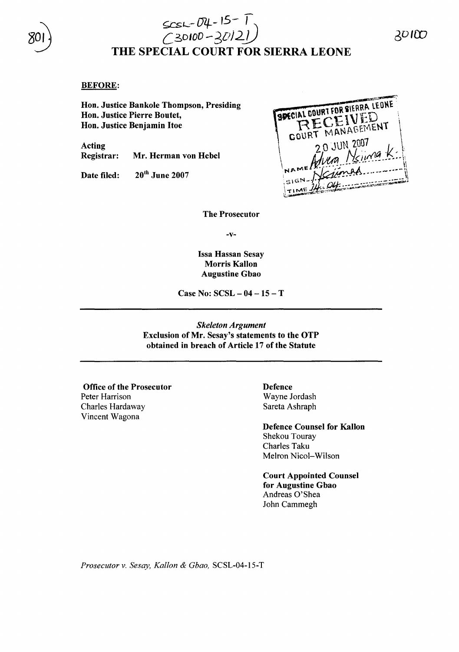

## $ScsL - D4 - 15 - 1$ *C3*0lOD *-3*D*J2j)* THE SPECIAL COURT FOR SIERRA LEONE

### BEFORE:

Hon. Justice Bankole Thompson, Presiding Hon. Justice Pierre Boutet, Hon. Justice Benjamin Itoe

Acting Registrar: Mr. Herman von Hebel

Date filed: 20<sup>th</sup> June 2007



The Prosecutor

-v-

Issa Hassan Sesay Morris Kallon Augustine Gbao

Case No: SCSL - 04 - 15 - T

*Skeleton Argument* Exclusion of Mr. Sesay's statements to the OTP obtained in breach of Article 17 of the Statute

Office of the Prosecutor Peter Harrison Charles Hardaway Vincent Wagona

Defence Wayne Jordash Sareta Ashraph

Defence Counsel for Kallon Shekou Touray Charles Taku Melron Nicol-Wilson

Court Appointed Counsel for Augustine Gbao Andreas O'Shea John Cammegh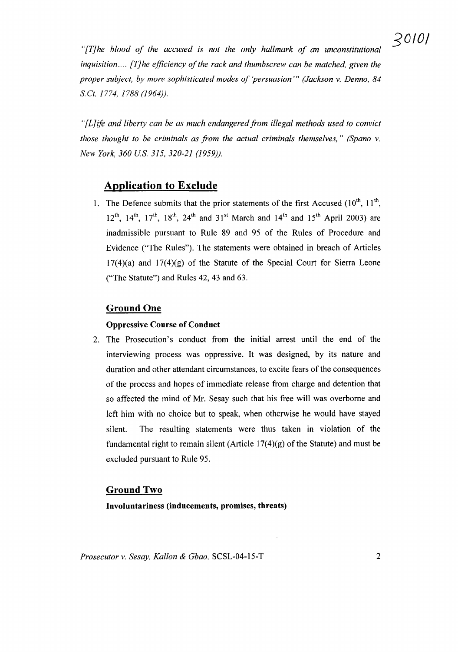*"[T]he blood of the accused is not the only hallmark of an unconstitutional inquisition....* [T]he *efficiency* of the rack and *thumbscrew can be matched, given the proper subject, by more sophisticated modes of 'persuasion'" (Jackson* v. *Denno, 84 s.et.* 1774, 1788 (1964)).

*"[LJife and liberty can be as much endangeredfrom illegal methods used to convict those thought to be criminals as from the actual criminals themselves," (Spano* v. *New York, 360 Us.* 315, *320-21 (1959)).*

## Application to Exclude

1. The Defence submits that the prior statements of the first Accused  $(10^{th}, 11^{th},$ 12<sup>th</sup>, 14<sup>th</sup>, 17<sup>th</sup>, 18<sup>th</sup>, 24<sup>th</sup> and 31<sup>st</sup> March and 14<sup>th</sup> and 15<sup>th</sup> April 2003) are inadmissible pursuant to Rule 89 and 95 of the Rules of Procedure and Evidence ("The Rules"). The statements were obtained in breach of Articles  $17(4)(a)$  and  $17(4)(g)$  of the Statute of the Special Court for Sierra Leone ("The Statute") and Rules 42, 43 and 63.

## Ground One

#### Oppressive Course of Conduct

2. The Prosecution's conduct from the initial arrest until the end of the interviewing process was oppressive. It was designed, by its nature and duration and other attendant circumstances, to excite fears of the consequences of the process and hopes of immediate release from charge and detention that so affected the mind of Mr. Sesay such that his free will was overborne and left him with no choice but to speak, when otherwise he would have stayed silent. The resulting statements were thus taken in violation of the fundamental right to remain silent (Article  $17(4)(g)$  of the Statute) and must be excluded pursuant to Rule 95.

#### Ground Two

Involuntariness (inducements, promises, threats)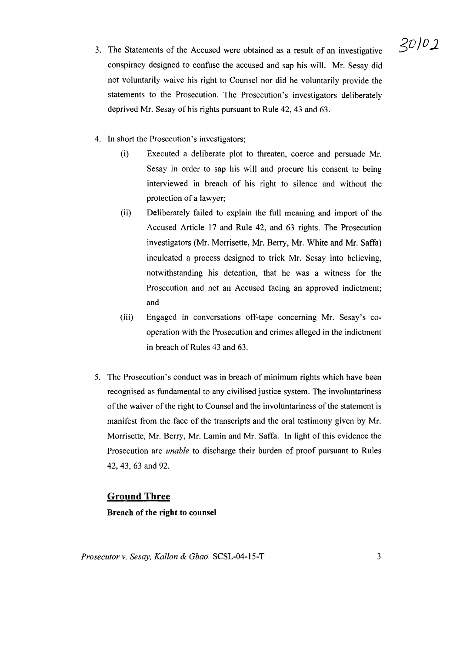- 3. The Statements of the Accused were obtained as a result of an investigative conspiracy designed to confuse the accused and sap his will. Mr. Sesay did not voluntarily waive his right to Counsel nor did he voluntarily provide the statements to the Prosecution. The Prosecution's investigators deliberately deprived Mr. Sesay of his rights pursuant to Rule 42, 43 and 63.
- 4. In short the Prosecution's investigators;
	- (i) Executed a deliberate plot to threaten, coerce and persuade Mr. Sesay in order to sap his will and procure his consent to being interviewed in breach of his right to silence and without the protection of a lawyer;
	- (ii) Deliberately failed to explain the full meaning and import of the Accused Article 17 and Rule 42, and 63 rights. The Prosecution investigators (Mr. Morrisette, Mr. Berry, Mr. White and Mr. Saffa) inculcated a process designed to trick Mr. Sesay into believing, notwithstanding his detention, that he was a witness for the Prosecution and not an Accused facing an approved indictment; and
	- (iii) Engaged in conversations off-tape concerning Mr. Sesay's cooperation with the Prosecution and crimes alleged in the indictment in breach of Rules 43 and 63.
- 5. The Prosecution's conduct was in breach of minimum rights which have been recognised as fundamental to any civilised justice system. The involuntariness of the waiver of the right to Counsel and the involuntariness of the statement is manifest from the face of the transcripts and the oral testimony given by Mr. Morrisette, Mr. Berry, Mr. Lamin and Mr. Saffa. In light of this evidence the Prosecution are *unable* to discharge their burden of proof pursuant to Rules 42, 43, 63 and 92.

## **Ground Three**

## Breach of the right to counsel

 $30/02$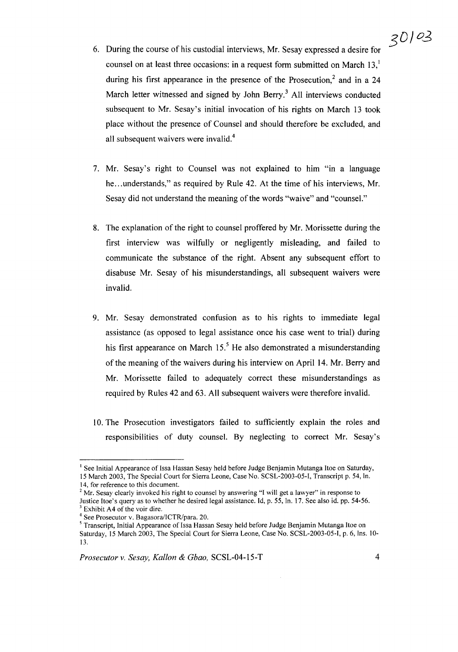# $30/03$

- 6. During the course of his custodial interviews, Mr. Sesay expressed a desire for counsel on at least three occasions: in a request form submitted on March  $13<sup>1</sup>$ during his first appearance in the presence of the Prosecution,<sup>2</sup> and in a 24 March letter witnessed and signed by John Berry.<sup>3</sup> All interviews conducted subsequent to Mr. Sesay's initial invocation of his rights on March 13 took place without the presence of Counsel and should therefore be excluded, and all subsequent waivers were invalid.<sup>4</sup>
- 7. Mr. Sesay's right to Counsel was not explained to him "in a language he...understands," as required by Rule 42. At the time of his interviews, Mr. Sesay did not understand the meaning of the words "waive" and "counsel."
- 8. The explanation of the right to counsel proffered by Mr. Morissette during the first interview was wilfully or negligently misleading, and failed to communicate the substance of the right. Absent any subsequent effort to disabuse Mr. Sesay of his misunderstandings, all subsequent waivers were invalid.
- 9. Mr. Sesay demonstrated confusion as to his rights to immediate legal assistance (as opposed to legal assistance once his case went to trial) during his first appearance on March  $15<sup>5</sup>$  He also demonstrated a misunderstanding of the meaning of the waivers during his interview on April 14. Mr. Berry and Mr. Morissette failed to adequately correct these misunderstandings as required by Rules 42 and 63. All subsequent waivers were therefore invalid.
- 10. The Prosecution investigators failed to sufficiently explain the roles and responsibilities of duty counsel. By neglecting to correct Mr. Sesay's

<sup>&</sup>lt;sup>1</sup> See Initial Appearance of Issa Hassan Sesay held before Judge Benjamin Mutanga Itoe on Saturday, 15 March 2003, The Special Court for Sierra Leone, Case No. SCSL-2003-05-I, Transcript p. 54, In.

<sup>14,</sup> for reference to this document.

 $2^{\circ}$  Mr. Sesay clearly invoked his right to counsel by answering "I will get a lawyer" in response to Justice Hoe's query as to whether he desired legal assistance. Id, p. 55, In. 17. See also id. pp. 54-56.  $3$  Exhibit A4 of the voir dire.

<sup>4</sup> See Prosecutor v. Bagasora/ICTR/para. 20.

<sup>&</sup>lt;sup>5</sup> Transcript, Initial Appearance of Issa Hassan Sesay held before Judge Benjamin Mutanga Itoe on Saturday, 15 March 2003, The Special Court for Sierra Leone, Case No. SCSL-2003-05-I, p. 6, Ins. lO-B.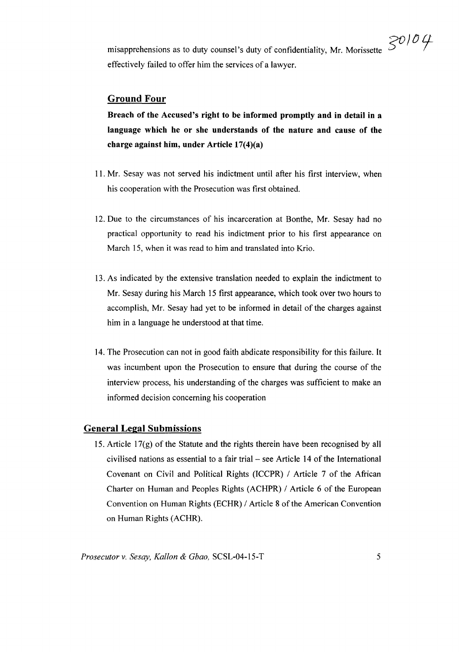$30104$ misapprehensions as to duty counsel's duty of confidentiality, Mr. Morissette effectively failed to offer him the services of a lawyer.

## Ground Four

Breach of the Accused's right to be informed promptly and in detail in a language which he or she understands of the nature and cause of the charge against him, under Article 17(4)(a)

- 11. Mr. Sesay was not served his indictment until after his first interview, when his cooperation with the Prosecution was first obtained.
- 12. Due to the circumstances of his incarceration at Bonthe, Mr. Sesay had no practical opportunity to read his indictment prior to his first appearance on March 15, when it was read to him and translated into Krio.
- 13. As indicated by the extensive translation needed to explain the indictment to Mr. Sesay during his March 15 first appearance, which took over two hours to accomplish, Mr. Sesay had yet to be informed in detail of the charges against him in a language he understood at that time.
- 14. The Prosecution can not in good faith abdicate responsibility for this failure. It was incumbent upon the Prosecution to ensure that during the course of the interview process, his understanding of the charges was sufficient to make an informed decision concerning his cooperation

#### General Legal Submissions

15. Article 17(g) of the Statute and the rights therein have been recognised by all civilised nations as essential to a fair trial – see Article 14 of the International Covenant on Civil and Political Rights (lCCPR) / Article 7 of the African Charter on Human and Peoples Rights (ACHPR) / Article 6 of the European Convention on Human Rights (ECHR) / Article 8 of the American Convention on Human Rights (ACHR).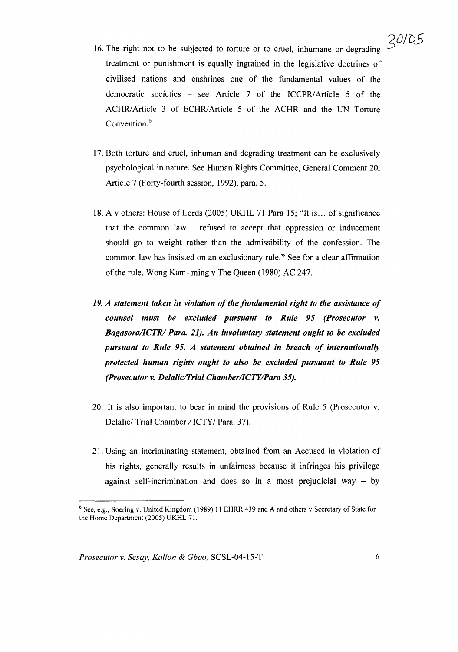- 16. The right not to be subjected to torture or to cruel, inhumane or degrading treatment or punishment is equally ingrained in the legislative doctrines of civilised nations and enshrines one of the fundamental values of the democratic societies – see Article 7 of the ICCPR/Article 5 of the ACHR/Article 3 of ECHR/Article 5 of the ACHR and the UN Torture Convention.<sup>6</sup>
- 17. Both torture and cruel, inhuman and degrading treatment can be exclusively psychological in nature. See Human Rights Committee, General Comment 20, Article 7 (Forty-fourth session, 1992), para. 5.
- 18. A v others: House of Lords (2005) UKHL 71 Para 15; "It is... of significance that the common law... refused to accept that oppression or inducement should go to weight rather than the admissibility of the confession. The common law has insisted on an exclusionary rule." See for a clear affirmation of the rule, Wong Kam- ming v The Queen (1980) AC 247.
- *19. A statement taken in violation of the fundamental right to the assistance of counsel must be excluded pursuant to Rule* 95 *(Prosecutor v. BagasoralICTR/ Para.* 21). *An involuntary statement ought to be excluded pursuant to Rule* 95. *A statement obtained in breach of internationally protected human rights ought to also be excluded pursuant to Rule 95 (Prosecutor v. DelaliclI'rial ChamberlICTYlPara 35).*
- 20. It is also important to bear in mind the provisions of Rule 5 (Prosecutor v. Delalic/ Trial Chamber / ICTY/ Para. 37).
- 21. Using an incriminating statement, obtained from an Accused in violation of his rights, generally results in unfairness because it infringes his privilege against self-incrimination and does so in a most prejudicial way  $-$  by

<sup>6</sup> See, e.g., Soering v. United Kingdom (1989) 11 EHRR 439 and A and others v Secretary of State for the Home Department (2005) UKHL 71.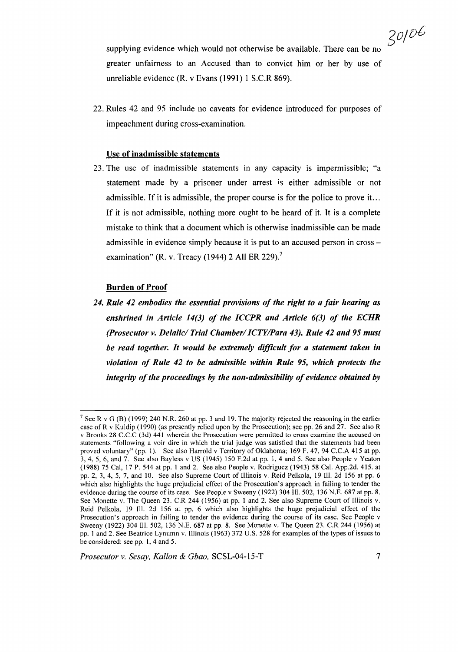30106

supplying evidence which would not otherwise be available. There can be no greater unfairness to an Accused than to convict him or her by use of unreliable evidence (R. v Evans (1991) 1 S.C.R 869).

22. Rules 42 and 95 include no caveats for evidence introduced for purposes of impeachment during cross-examination.

#### Use of inadmissible statements

23. The use of inadmissible statements in any capacity is impermissible; "a statement made by a prisoner under arrest is either admissible or not admissible. If it is admissible, the proper course is for the police to prove it. .. If it is not admissible, nothing more ought to be heard of it. It is a complete mistake to think that a document which is otherwise inadmissible can be made admissible in evidence simply because it is put to an accused person in crossexamination" (R. v. Treacy (1944) 2 All ER 229).<sup>7</sup>

#### Burden of Proof

*24. Rule* 42 *embodies the essential provisions of the right to a fair hearing as enshrined in Article* 14(3) *of the ICCPR and Article* 6(3) *of the ECHR (Prosecutor v. Delalic/Trial Chamber/ICTY/Para 43). Rule 42 and 95 must be read together. It would be extremely difficult for a statement taken in violation of Rule* 42 *to be admissible within Rule* 95, *which protects the integrity of the proceedings by the non-admissibility of evidence obtained by* 

<sup>&</sup>lt;sup>7</sup> See R v G (B) (1999) 240 N.R. 260 at pp. 3 and 19. The majority rejected the reasoning in the earlier case ofR v Kuldip (1990) (as presently relied upon by the Prosecution); see pp. 26 and 27. See also R v Brooks 28 C.C.C (3d) 441 wherein the Prosecution were permitted to cross examine the accused on statements "following a voir dire in which the trial judge was satisfied that the statements had been proved voluntary" (pp. 1). See also Harrold v Territory of Oklahoma; 169 F. 47, 94 C.C.A 415 at pp. 3,4, 5, 6, and 7. See also Bayless v US (1945) 150 F.2d at pp. 1,4 and 5. See also People v Yeaton (1988) 75 Cal, 17 P. 544 at pp. 1 and 2. See also People v. Rodriguez (1943) 58 Cal. App.2d. 415. at pp. 2, 3, 4, 5, 7, and 10. See also Supreme Court of Illinois v. Reid Pelkola, 19 Ill. 2d 156 at pp. 6 which also highlights the huge prejudicial effect of the Prosecution's approach in failing to tender the evidence during the course of its case. See People v Sweeny (1922) 304 Ill. 502,136 N.E. 687 at pp. 8. See Monette v. The Queen 23. C.R 244 (1956) at pp. 1 and 2. See also Supreme Court of Illinois v. Reid Pelkola, 19 Ill. 2d 156 at pp. 6 which also highlights the huge prejudicial effect of the Prosecution's approach in failing to tender the evidence during the course of its case. See People v Sweeny (1922) 304 111. 502, 136 N.E. 687 at pp. 8. See Monette v. The Queen 23. C.R 244 (1956) at pp. 1 and 2. See Beatrice Lynumn v.l1Iinois (1963) 372 U.S. 528 for examples ofthe types of issues to be considered: see pp. 1, 4 and 5.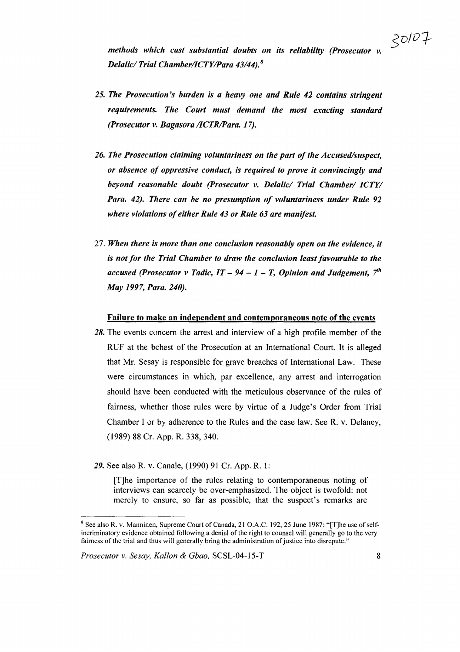*methods which cast substantial doubts on its reliability (Prosecutor v. Delalid Trial ChamberlICTYlPara* 43/44). <sup>8</sup>

- *25. The Prosecution's burden is a heavy one and Rule* 42 *contains stringent requirements. The Court must demand the most exacting standard (Prosecutor v. Bagasora IICTRIPara. 17).*
- *26. The Prosecution claiming voluntariness on the part ofthe Accused/suspect, or absence of oppressive conduct, is required to prove it convincingly and beyond reasonable doubt (Prosecutor v. Delalid Trial Chamber/ ICTY/ Para.* 42). *There can be no presumption of voluntariness under Rule 92 where violations ofeither Rule* 43 *or Rule* 63 *are manifest.*
- *27. When there is more than one conclusion reasonably open on the evidence, it is not for the Trial Chamber to draw the conclusion least favourable to the accused (Prosecutor v Tadic, IT* – 94 – 1 – T, *Opinion* and *Judgement*,  $7<sup>th</sup>$ *May* 1997, *Para. 240).*

#### Failure to make an independent and contemporaneous note of the events

- 28. The events concern the arrest and interview of a high profile member of the RUF at the behest of the Prosecution at an International Court. It is alleged that Mr. Sesay is responsible for grave breaches of International Law. These were circumstances in which, par excellence, any arrest and interrogation should have been conducted with the meticulous observance of the rules of fairness, whether those rules were by virtue of a Judge's Order from Trial Chamber I or by adherence to the Rules and the case law. See R. v. Delaney, (1989) 88 Cr. App. R. 338, 340.
- 29. See also R. v. Canale, (1990) 91 Cr. App. R. 1:

[T]he importance of the rules relating to contemporaneous noting of interviews can scarcely be over-emphasized. The object is twofold: not merely to ensure, so far as possible, that the suspect's remarks are

<sup>&</sup>lt;sup>8</sup> See also R. v. Manninen, Supreme Court of Canada, 21 O.A.C. 192, 25 June 1987: "[T]he use of selfincriminatory evidence obtained following a denial of the right to counsel will generally go to the very fairness of the trial and thus will generally bring the administration of justice into disrepute."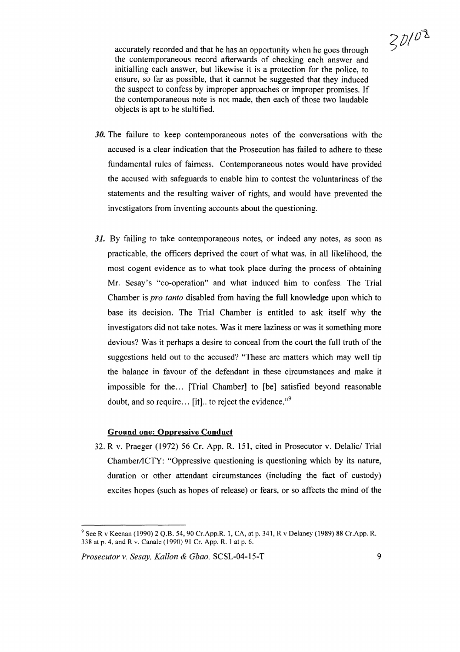

accurately recorded and that he has an opportunity when he goes through the contemporaneous record afterwards of checking each answer and initialling each answer, but likewise it is a protection for the police, to ensure, so far as possible, that it cannot be suggested that they induced the suspect to confess by improper approaches or improper promises. If the contemporaneous note is not made, then each of those two laudable objects is apt to be stultified.

- *30.* The failure to keep contemporaneous notes of the conversations with the accused is a clear indication that the Prosecution has failed to adhere to these fundamental rules of fairness. Contemporaneous notes would have provided the accused with safeguards to enable him to contest the voluntariness of the statements and the resulting waiver of rights, and would have prevented the investigators from inventing accounts about the questioning.
- 31. By failing to take contemporaneous notes, or indeed any notes, as soon as practicable, the officers deprived the court of what was, in all likelihood, the most cogent evidence as to what took place during the process of obtaining Mr. Sesay's "co-operation" and what induced him to confess. The Trial Chamber is *pro tanto* disabled from having the full knowledge upon which to base its decision. The Trial Chamber is entitled to ask itself why the investigators did not take notes. Was it mere laziness or was it something more devious? Was it perhaps a desire to conceal from the court the full truth of the suggestions held out to the accused? "These are matters which may well tip the balance in favour of the defendant in these circumstances and make it impossible for the... [Trial Chamber] to [be] satisfied beyond reasonable doubt, and so require... [it].. to reject the evidence."<sup>9</sup>

#### **Ground** one: Oppressive **Conduct**

32. R v. Praeger (1972) 56 Cr. App. R. 151, cited in Prosecutor v. Delalic/ Trial Chamber/ICTY: "Oppressive questioning is questioning which by its nature, duration or other attendant circumstances (including the fact of custody) excites hopes (such as hopes of release) or fears, or so affects the mind of the

<sup>9</sup> See R v Keenan (1990) 2 Q.B. 54,90 Cr.App.R. 1, CA, at p. 341, R v Delaney (1989) 88 Cr.App. R. 338 at p. 4, and R v. Canale (1990) 91 Cr. App. R. 1 at p. 6.

*Prosecutor* v. *Sesay, Kallon* & *Gbao,* SCSL-04-15-T 9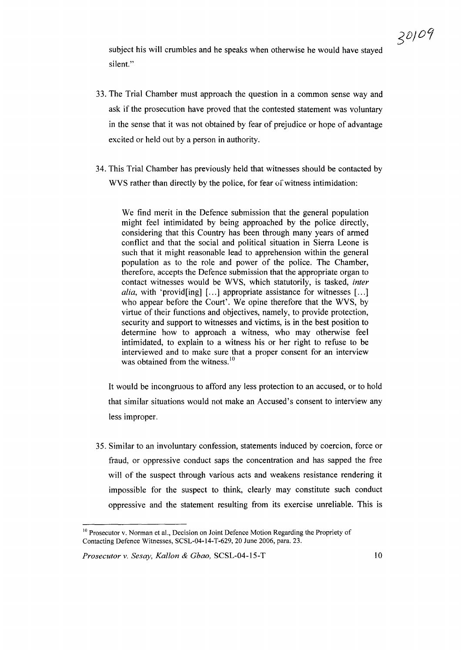subject his will crumbles and he speaks when otherwise he would have stayed silent."

- 33. The Trial Chamber must approach the question in a common sense way and ask if the prosecution have proved that the contested statement was voluntary in the sense that it was not obtained by fear of prejudice or hope of advantage excited or held out by a person in authority.
- 34. This Trial Chamber has previously held that witnesses should be contacted by WVS rather than directly by the police, for fear of witness intimidation:

We find merit in the Defence submission that the general population might feel intimidated by being approached by the police directly, considering that this Country has been through many years of armed conflict and that the social and political situation in Sierra Leone is such that it might reasonable lead to apprehension within the general population as to the role and power of the police. The Chamber, therefore, accepts the Defence submission that the appropriate organ to contact witnesses would be WVS, which statutorily, is tasked, *inter alia,* with 'provid[ing] [...] appropriate assistance for witnesses [...] who appear before the Court'. We opine therefore that the WVS, by virtue of their functions and objectives, namely, to provide protection, security and support to witnesses and victims, is in the best position to determine how to approach a witness, who may otherwise feel intimidated, to explain to a witness his or her right to refuse to be interviewed and to make sure that a proper consent for an interview was obtained from the witness.<sup>10</sup>

It would be incongruous to afford any less protection to an accused, or to hold that similar situations would not make an Accused's consent to interview any less improper.

35. Similar to an involuntary confession, statements induced by coercion, force or fraud, or oppressive conduct saps the concentration and has sapped the free will of the suspect through various acts and weakens resistance rendering it impossible for the suspect to think, clearly may constitute such conduct oppressive and the statement resulting from its exercise unreliable. This is

<sup>&</sup>lt;sup>10</sup> Prosecutor v. Norman et al., Decision on Joint Defence Motion Regarding the Propriety of Contacting Defence Witnesses, SCSL-04-14-T-629, 20 June 2006, para. 23.

*Prosecutor* v. *Sesay, Kallon* & *Gbao,* SCSL-04-15-T 10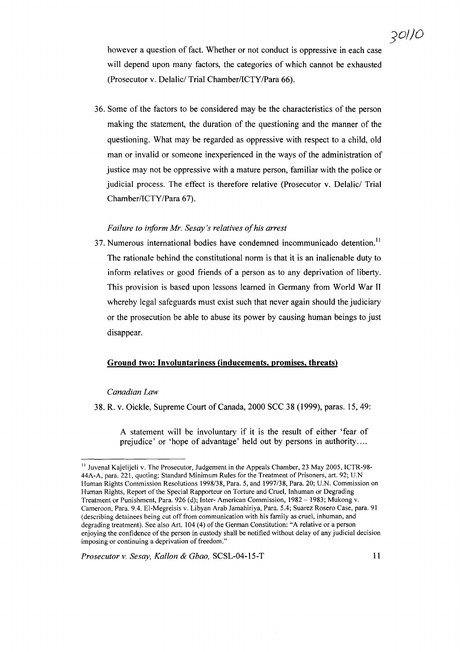however a question of fact. Whether or not conduct is oppressive in each case will depend upon many factors, the categories of which cannot be exhausted (Prosecutor v. Delalic/ Trial Chamber/ICTY/Para 66).

36. Some of the factors to be considered may be the characteristics of the person making the statement, the duration of the questioning and the manner of the questioning. What may be regarded as oppressive with respect to a child, old man or invalid or someone inexperienced in the ways of the administration of justice may not be oppressive with a mature person, familiar with the police or judicial process. The effect is therefore relative (Prosecutor v. Delalic/ Trial Chamber/ICTY/Para 67).

#### *Failure to inform Mr. Sesay's relatives ofhis arrest*

37. Numerous international bodies have condemned incommunicado detention.<sup>11</sup> The rationale behind the constitutional norm is that it is an inalienable duty to inform relatives or good friends of a person as to any deprivation of liberty. This provision is based upon lessons learned in Germany from World War II whereby legal safeguards must exist such that never again should the judiciary or the prosecution be able to abuse its power by causing human beings to just disappear.

#### Ground two: Involuntariness (inducements, promises, threats)

#### *Canadian Law*

38. R. v. Oickle, Supreme Court of Canada, 2000 SCC 38 (1999), paras. 15,49:

A statement will be involuntary if it is the result of either 'fear of prejudice' or 'hope of advantage' held out by persons in authority ....

<sup>&</sup>lt;sup>11</sup> Juvenal Kajelijeli v. The Prosecutor, Judgement in the Appeals Chamber, 23 May 2005, ICTR-98-44A-A, para. 221, quoting: Standard Minimum Rules for the Treatment of Prisoners, art. 92; U.N Human Rights Commission Resolutions 1998/38, Para. 5, and 1997/38, Para. 20; U.N. Commission on Human Rights, Report of the Special Rapporteur on Torture and Cruel, Inhuman or Degrading Treatment or Punishment, Para. 926 (d); Inter- American Commission, 1982 - 1983; Mukong v. Cameroon, Para. 9.4. El-Megreisis v. Libyan Arab Jamahiriya, Para. 5.4; Suarez Rosero Case, para. 91 (describing detainees being cut off from communication with his family as cruel, inhuman, and degrading treatment). See also Art. 104 (4) of the German Constitution: "A relative or a person enjoying the confidence ofthe person in custody shall be notified without delay of any judicial decision imposing or continuing a deprivation of freedom."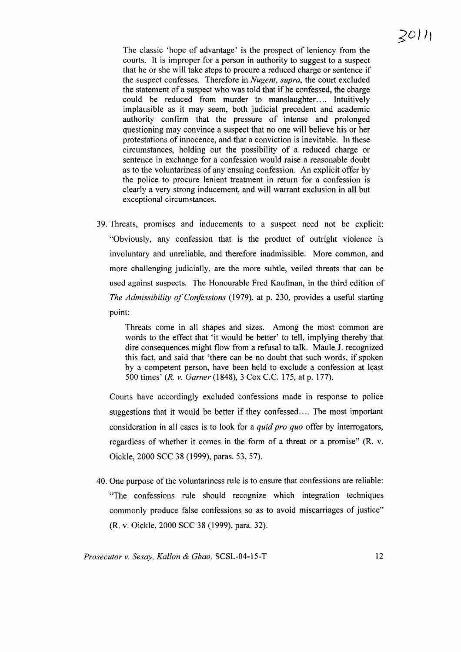The classic 'hope of advantage' is the prospect of leniency from the courts. It is improper for a person in authority to suggest to a suspect that he or she will take steps to procure a reduced charge or sentence if the suspect confesses. Therefore in *Nugent, supra,* the court excluded the statement of a suspect who was told that if he confessed, the charge could be reduced from murder to manslaughter. ... Intuitively implausible as it may seem, both judicial precedent and academic authority confirm that the pressure of intense and prolonged questioning may convince a suspect that no one will believe his or her protestations of innocence, and that a conviction is inevitable. In these circumstances, holding out the possibility of a reduced charge or sentence in exchange for a confession would raise a reasonable doubt as to the voluntariness of any ensuing confession. An explicit offer by the police to procure lenient treatment in return for a confession is clearly a very strong inducement, and will warrant exclusion in all but exceptional circumstances.

39. Threats, promises and inducements to a suspect need not be explicit: "Obviously, any confession that is the product of outright violence is involuntary and unreliable, and therefore inadmissible. More common, and more challenging judicially, are the more subtle, veiled threats that can be used against suspects. The Honourable Fred Kaufman, in the third edition of *The Admissibility of Confessions* (1979), at p. 230, provides a useful starting point:

Threats come in all shapes and sizes. Among the most common are words to the effect that 'it would be better' to tell, implying thereby that dire consequences might flow from a refusal to talk. Maule J. recognized this fact, and said that 'there can be no doubt that such words, if spoken by a competent person, have been held to exclude a confession at least 500 times' *(R.* v. *Garner* (1848), 3 Cox c.c. 175, at p. 177).

Courts have accordingly excluded confessions made in response to police suggestions that it would be better if they confessed.... The most important consideration in all cases is to look for a *quid pro quo* offer by interrogators, regardless of whether it comes in the form of a threat or a promise" (R. v. Oickle, 2000 SCC 38 (1999), paras. 53, 57).

40. One purpose ofthe voluntariness rule is to ensure that confessions are reliable: "The confessions rule should recognize which integration techniques commonly produce false confessions so as to avoid miscarriages of justice" (R. v. Oickle, 2000 SCC 38 (1999), para. 32).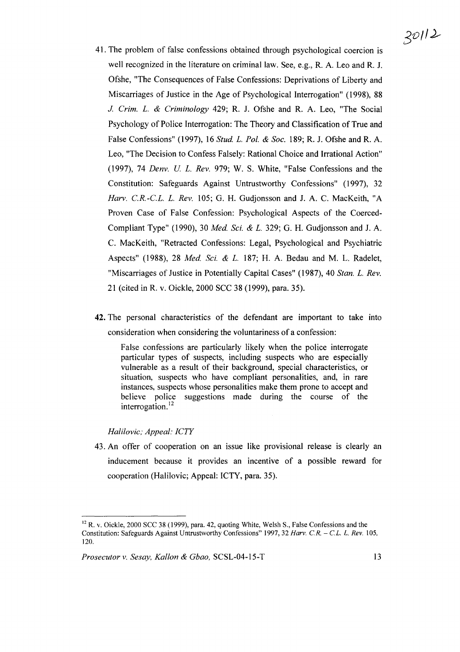- 41. The problem of false confessions obtained through psychological coercion is well recognized in the literature on criminal law. See, e.g., R. A. Leo and R. J. Ofshe, "The Consequences of False Confessions: Deprivations of Liberty and Miscarriages of Justice in the Age of Psychological Interrogation" (1998), 88 J. *Crim. L.* & *Criminology* 429; R. J. Ofshe and R. A. Leo, "The Social Psychology of Police Interrogation: The Theory and Classification of True and False Confessions" (1997), 16 *Stud. L. Pol.* & *Soc.* 189; R. J. Ofshe and R. A. Leo, "The Decision to Confess Falsely: Rational Choice and Irrational Action" (1997), 74 *Denv. U L. Rev.* 979; W. S. White, "False Confessions and the Constitution: Safeguards Against Untrustworthy Confessions" (1997), 32 *Harv. C.R.-C.L. L. Rev.* 105; G. H. Gudjonsson and J. A. C. MacKeith, "A Proven Case of False Confession: Psychological Aspects of the Coerced-Compliant Type" (1990), 30 *Med. Sci.* & *L.* 329; G. H. Gudjonsson and J. A. C. MacKeith, "Retracted Confessions: Legal, Psychological and Psychiatric Aspects" (1988), 28 *Med. Sci. & L.* 187; H. A. Bedau and M. L. Radelet, "Miscarriages of Justice in Potentially Capital Cases" (1987), 40 *Stan. L. Rev.* 21 (cited in R. v. Oickle, 2000 SCC 38 (1999), para. 35).
- **42.** The personal characteristics of the defendant are important to take into consideration when considering the voluntariness of a confession:

False confessions are particularly likely when the police interrogate particular types of suspects, including suspects who are especially vulnerable as a result of their background, special characteristics, or situation, suspects who have compliant personalities, and, in rare instances, suspects whose personalities make them prone to accept and believe police suggestions made during the course of the interrogation.<sup>12</sup>

## *Halilovic; Appeal: ICTY*

43. An offer of cooperation on an issue like provisional release is clearly an inducement because it provides an incentive of a possible reward for cooperation (Halilovic; Appeal: ICTY, para. 35).

<sup>&</sup>lt;sup>12</sup> R. v. Oickle, 2000 SCC 38 (1999), para. 42, quoting White, Welsh S., False Confessions and the Constitution: Safeguards Against Untrustworthy Confessions" 1997,32 *Harv. CR.* - *CL. L. Rev. 105,* 120.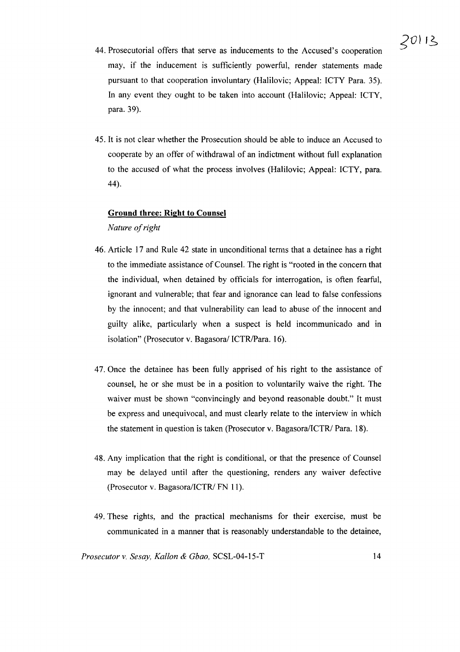- 44. Prosecutorial offers that serve as inducements to the Accused's cooperation may, if the inducement is sufficiently powerful, render statements made pursuant to that cooperation involuntary (Halilovic; Appeal: ICTY Para. 35). In any event they ought to be taken into account (Halilovic; Appeal: ICTY, para. 39).
- 45. It is not clear whether the Prosecution should be able to induce an Accused to cooperate by an offer of withdrawal of an indictment without full explanation to the accused of what the process involves (Halilovic; Appeal: ICTY, para. 44).

#### **Ground three: Right to Counsel**

*Nature ofright*

- 46. Article 17 and Rule 42 state in unconditional terms that a detainee has a right to the immediate assistance of Counsel. The right is "rooted in the concern that the individual, when detained by officials for interrogation, is often fearful, ignorant and vulnerable; that fear and ignorance can lead to false confessions by the innocent; and that vulnerability can lead to abuse of the innocent and guilty alike, particularly when a suspect is held incommunicado and in isolation" (Prosecutor v. Bagasora/ ICTR/Para. 16).
- 47. Once the detainee has been fully apprised of his right to the assistance of counsel, he or she must be in a position to voluntarily waive the right. The waiver must be shown "convincingly and beyond reasonable doubt." It must be express and unequivocal, and must clearly relate to the interview in which the statement in question is taken (Prosecutor v. Bagasora/ICTR/ Para. 18).
- 48. Any implication that the right is conditional, or that the presence of Counsel may be delayed until after the questioning, renders any waiver defective (Prosecutor v. Bagasora/ICTR/ FN 11).
- 49. These rights, and the practical mechanisms for their exercise, must be communicated in a manner that is reasonably understandable to the detainee,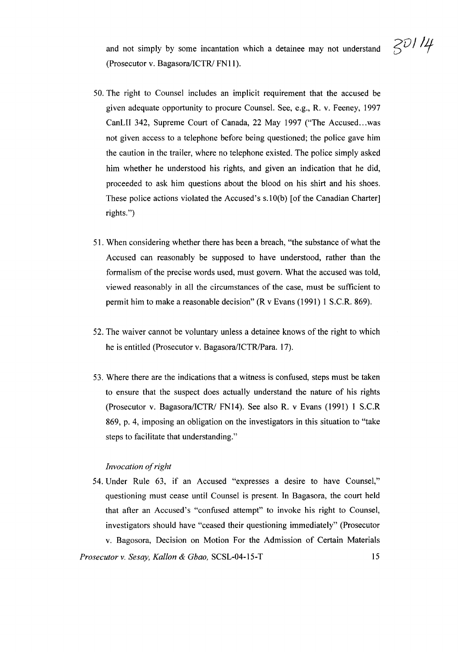and not simply by some incantation which a detainee may not understand  $\frac{20}{14}$ (Prosecutor v. Bagasora/ICTR/ FN11).

- 50. The right to Counsel includes an implicit requirement that the accused be given adequate opportunity to procure Counsel. See, e.g., R. v. Feeney, 1997 CanLII 342, Supreme Court of Canada, 22 May 1997 ("The Accused...was not given access to a telephone before being questioned; the police gave him the caution in the trailer, where no telephone existed. The police simply asked him whether he understood his rights, and given an indication that he did, proceeded to ask him questions about the blood on his shirt and his shoes. These police actions violated the Accused's s.10(b) [of the Canadian Charter] rights.")
- 51. When considering whether there has been a breach, "the substance of what the Accused can reasonably be supposed to have understood, rather than the formalism of the precise words used, must govern. What the accused was told, viewed reasonably in all the circumstances of the case, must be sufficient to permit him to make a reasonable decision" (R v Evans (1991) 1 S.C.R. 869).
- 52. The waiver cannot be voluntary unless a detainee knows of the right to which he is entitled (Prosecutor v. Bagasora/ICTR/Para. 17).
- 53. Where there are the indications that a witness is confused, steps must be taken to ensure that the suspect does actually understand the nature of his rights (Prosecutor v. Bagasora/ICTRJ FNI4). See also R. v Evans (1991) 1 S.C.R 869, p. 4, imposing an obligation on the investigators in this situation to "take steps to facilitate that understanding."

#### *Invocation* of right

54. Under Rule 63, if an Accused "expresses a desire to have Counsel," questioning must cease until Counsel is present. In Bagasora, the court held that after an Accused's "confused attempt" to invoke his right to Counsel, investigators should have "ceased their questioning immediately" (Prosecutor v. Bagosora, Decision on Motion For the Admission of Certain Materials *Prosecutor* v. *Sesay, Kallon* & *Gbao,* SCSL-04-15-T 15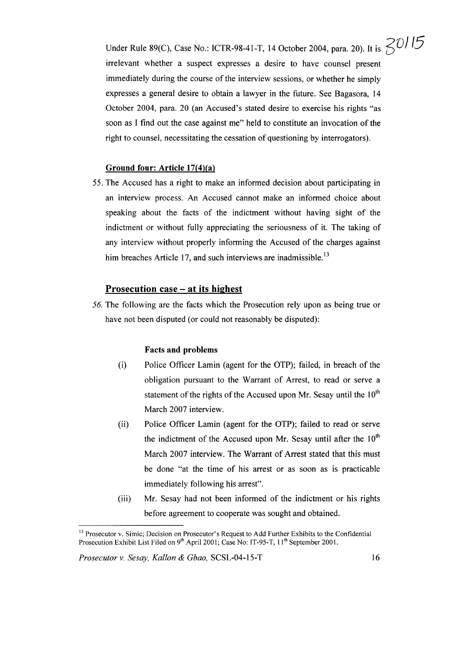Under Rule 89(C), Case No.: ICTR-98-41-T, 14 October 2004, para. 20). It is <sup>701</sup>/5 irrelevant whether a suspect expresses a desire to have counsel present immediately during the course of the interview sessions, or whether he simply expresses a general desire to obtain a lawyer in the future. See Bagasora, 14 October 2004, para. 20 (an Accused's stated desire to exercise his rights "as soon as I find out the case against me" held to constitute an invocation of the right to counsel, necessitating the cessation of questioning by interrogators).

#### **Ground four: Article 17(4)(a)**

55. The Accused has a right to make an informed decision about participating in an interview process. An Accused cannot make an informed choice about speaking about the facts of the indictment without having sight of the indictment or without fully appreciating the seriousness of it. The taking of any interview without properly informing the Accused of the charges against him breaches Article 17, and such interviews are inadmissible.<sup>13</sup>

#### **Prosecution case - at its highest**

56. The following are the facts which the Prosecution rely upon as being true or have not been disputed (or could not reasonably be disputed):

#### **Facts and problems**

- (i) Police Officer Lamin (agent for the OTP); failed, in breach of the obligation pursuant to the Warrant of Arrest, to read or serve a statement of the rights of the Accused upon Mr. Sesay until the  $10<sup>th</sup>$ March 2007 interview.
- (ii) Police Officer Lamin (agent for the OTP); failed to read or serve the indictment of the Accused upon Mr. Sesay until after the  $10<sup>th</sup>$ March 2007 interview. The Warrant of Arrest stated that this must be done "at the time of his arrest or as soon as is practicable immediately following his arrest".
- (iii) Mr. Sesay had not been informed of the indictment or his rights before agreement to cooperate was sought and obtained.

<sup>&</sup>lt;sup>13</sup> Prosecutor v. Simic; Decision on Prosecutor's Request to Add Further Exhibits to the Confidential Prosecution Exhibit List Filed on 9<sup>th</sup> April 2001; Case No: IT-95-T, 11<sup>th</sup> September 2001.

*Prosecutor* v. *Sesay, Kallon* & *Gbao,* SCSL-04-15-T 16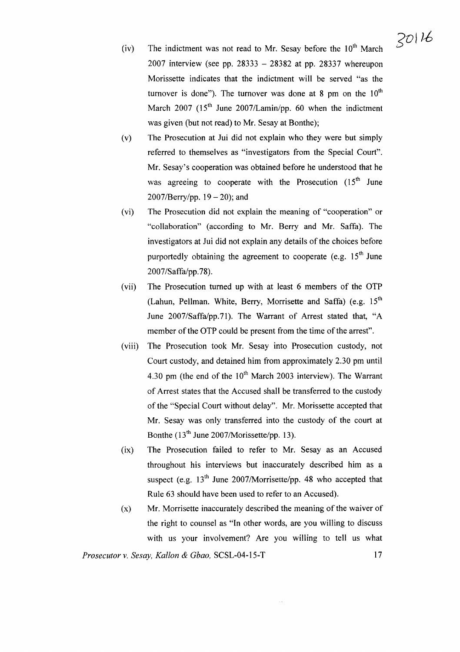- (iv) The indictment was not read to Mr. Sesay before the  $10<sup>th</sup>$  March 2007 interview (see pp. 28333  $-$  28382 at pp. 28337 whereupon Morissette indicates that the indictment will be served "as the turnover is done"). The turnover was done at 8 pm on the  $10<sup>th</sup>$ March 2007  $(15<sup>th</sup>$  June 2007/Lamin/pp. 60 when the indictment was given (but not read) to Mr. Sesay at Bonthe);
- (v) The Prosecution at Jui did not explain who they were but simply referred to themselves as "investigators from the Special Court". Mr. Sesay's cooperation was obtained before he understood that he was agreeing to cooperate with the Prosecution  $(15<sup>th</sup>)$  June 2007/Berry/pp.  $19 - 20$ ); and
- (vi) The Prosecution did not explain the meaning of "cooperation" or "collaboration" (according to Mr. Berry and Mr. Saffa). The investigators at Jui did not explain any details of the choices before purportedly obtaining the agreement to cooperate (e.g.  $15<sup>th</sup>$  June 2007/Saffa/pp.78).
- (vii) The Prosecution turned up with at least 6 members of the OTP (Lahun, Pellman. White, Berry, Morrisette and Saffa) (e.g.  $15<sup>th</sup>$ June 2007/Saffa/pp.71). The Warrant of Arrest stated that, "A member of the OTP could be present from the time of the arrest".
- (viii) The Prosecution took Mr. Sesay into Prosecution custody, not Court custody, and detained him from approximately 2.30 pm until 4.30 pm (the end of the  $10<sup>th</sup>$  March 2003 interview). The Warrant of Arrest states that the Accused shall be transferred to the custody of the "Special Court without delay". Mr. Morissette accepted that Mr. Sesay was only transferred into the custody of the court at Bonthe  $(13<sup>th</sup>$  June 2007/Morissette/pp. 13).
- (ix) The Prosecution failed to refer to Mr. Sesay as an Accused throughout his interviews but inaccurately described him as a suspect (e.g.  $13<sup>th</sup>$  June 2007/Morrisette/pp. 48 who accepted that Rule 63 should have been used to refer to an Accused).
- $(x)$  Mr. Morrisette inaccurately described the meaning of the waiver of the right to counsel as "In other words, are you willing to discuss with us your involvement? Are you willing to tell us what

i,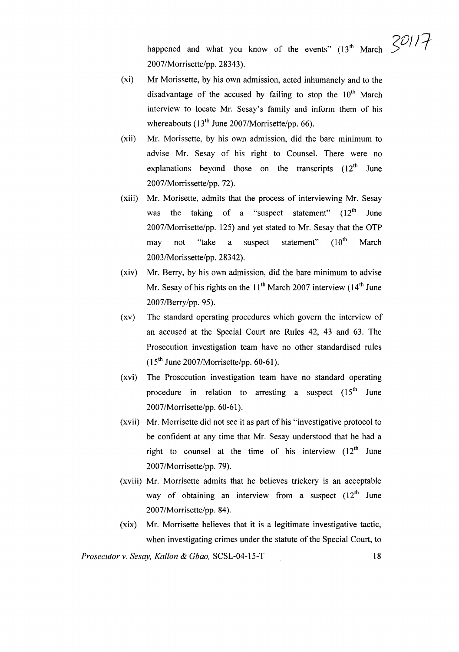happened and what you know of the events"  $(13^{\text{th}} \text{ March } 30)$ 2007/Morrisette/pp. 28343).

- (xi) Mr Morissette, by his own admission, acted inhumanely and to the disadvantage of the accused by failing to stop the  $10<sup>th</sup>$  March interview to locate Mr. Sesay's family and inform them of his whereabouts  $(13<sup>th</sup>$  June 2007/Morrisette/pp. 66).
- (xii) Mr. Morissette, by his own admission, did the bare minimum to advise Mr. Sesay of his right to Counsel. There were no explanations beyond those on the transcripts  $(12<sup>th</sup>)$  June 2007/Morrissette/pp. 72).
- (xiii) Mr. Morisette, admits that the process of interviewing Mr. Sesay was the taking of a "suspect statement"  $(12<sup>th</sup>$  June 2007/Morrisette/pp. 125) and yet stated to Mr. Sesay that the OTP may not "take a suspect statement" (10<sup>th</sup> March 2003/Morissette/pp. 28342).
- (xiv) Mr. Berry, by his own admission, did the bare minimum to advise Mr. Sesay of his rights on the  $11<sup>th</sup>$  March 2007 interview ( $14<sup>th</sup>$  June 2007/Berry/pp.95).
- (xv) The standard operating procedures which govern the interview of an accused at the Special Court are Rules 42, 43 and 63. The Prosecution investigation team have no other standardised rules  $(15<sup>th</sup>$  June 2007/Morrisette/pp. 60-61).
- (xvi) The Prosecution investigation team have no standard operating procedure in relation to arresting a suspect  $(15<sup>th</sup>$  June 2007/Morrisette/pp. 60-61).
- (xvii) Mr. Morrisette did not see it as part of his "investigative protocol to be confident at any time that Mr. Sesay understood that he had a right to counsel at the time of his interview  $(12<sup>th</sup>)$  June 2007/Morrisette/pp. 79).
- (xviii) Mr. Morrisette admits that he believes trickery is an acceptable way of obtaining an interview from a suspect  $(12<sup>th</sup>)$  June 2007/Morrisette/pp.84).
- (xix) Mr. Morrisette believes that it is a legitimate investigative tactic, when investigating crimes under the statute of the Special Court, to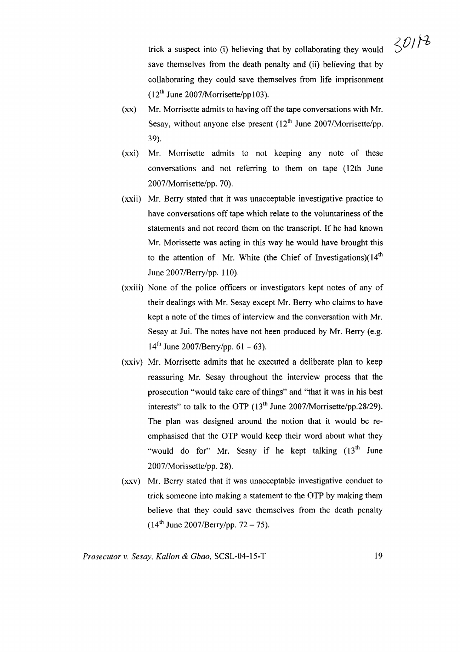$30118$ trick a suspect into (i) believing that by collaborating they would save themselves from the death penalty and (ii) believing that by collaborating they could save themselves from life imprisonment

 $(xx)$  Mr. Morrisette admits to having off the tape conversations with Mr. Sesay, without anyone else present  $(12<sup>th</sup>$  June 2007/Morrisette/pp. 39).

 $(12<sup>th</sup>$  June 2007/Morrisette/pp103).

- (xxi) Mr. Morrisette admits to not keeping any note of these conversations and not referring to them on tape (12th June 2007/Morrisette/pp. 70).
- (xxii) Mr. Berry stated that it was unacceptable investigative practice to have conversations off tape which relate to the voluntariness of the statements and not record them on the transcript. If he had known Mr. Morissette was acting in this way he would have brought this to the attention of Mr. White (the Chief of Investigations) $(14<sup>th</sup>$ June 2007/Berry/pp. 110).
- (xxiii) None of the police officers or investigators kept notes of any of their dealings with Mr. Sesay except Mr. Berry who claims to have kept a note of the times of interview and the conversation with Mr. Sesay at Jui. The notes have not been produced by Mr. Berry (e.g.  $14^{th}$  June 2007/Berry/pp. 61 – 63).
- (xxiv) Mr. Morrisette admits that he executed a deliberate plan to keep reassuring Mr. Sesay throughout the interview process that the prosecution "would take care of things" and "that it was in his best interests" to talk to the OTP  $(13<sup>th</sup>$  June 2007/Morrisette/pp.28/29). The plan was designed around the notion that it would be reemphasised that the OTP would keep their word about what they "would do for" Mr. Sesay if he kept talking  $(13<sup>th</sup>$  June 2007/Morissette/pp. 28).
- (xxv) Mr. Berry stated that it was unacceptable investigative conduct to trick someone into making a statement to the OTP by making them believe that they could save themseives from the death penalty  $(14^{th}$  June 2007/Berry/pp. 72 – 75).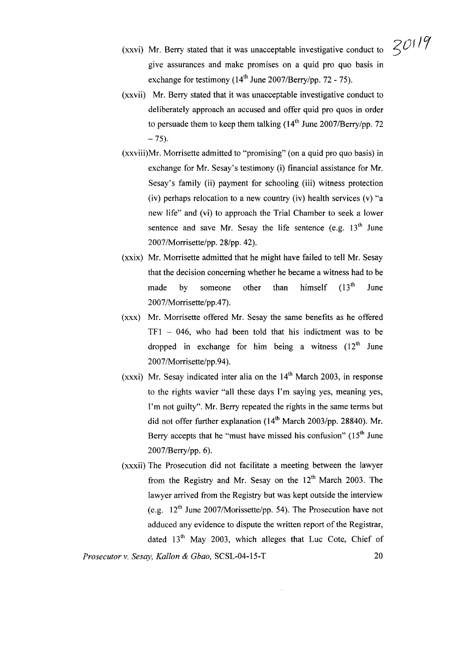- (xxvi) Mr. Berry stated that it was unacceptable investigative conduct to give assurances and make promises on a quid pro quo basis in exchange for testimony  $(14<sup>th</sup>$  June 2007/Berry/pp. 72 - 75).
- (xxvii) Mr. Berry stated that it was unacceptable investigative conduct to deliberately approach an accused and offer quid pro quos in order to persuade them to keep them talking  $(14<sup>th</sup>$  June 2007/Berry/pp. 72  $-75$ ).
- (xxviii)Mr. Morrisette admitted to "promising" (on a quid pro quo basis) in exchange for Mr. Sesay's testimony (i) financial assistance for Mr. Sesay's family (ii) payment for schooling (iii) witness protection (iv) perhaps relocation to a new country (iv) health services (v) "a new life" and (vi) to approach the Trial Chamber to seek a lower sentence and save Mr. Sesay the life sentence (e.g.  $13<sup>th</sup>$  June 2007/Morrisette/pp. 28/pp. 42).
- (xxix) Mr. Morrisette admitted that he might have failed to tell Mr. Sesay that the decision concerning whether he became a witness had to be made by someone other than himself  $(13<sup>th</sup>$  June 2007/Morrisette/pp.47).
- (xxx) Mr. Morrisette offered Mr. Sesay the same benefits as he offered  $TF1 - 046$ , who had been told that his indictment was to be dropped in exchange for him being a witness  $(12<sup>th</sup>$  June 2007/Morrisette/pp.94).
- (xxxi) Mr. Sesay indicated inter alia on the  $14<sup>th</sup>$  March 2003, in response to the rights wavier "all these days I'm saying yes, meaning yes, I'm not guilty". Mr. Berry repeated the rights in the same terms but did not offer further explanation  $(14<sup>th</sup> March 2003(pp)$ . 28840). Mr. Berry accepts that he "must have missed his confusion"  $(15<sup>th</sup>$  June 2007/Berry/pp.6).
- (xxxii) The Prosecution did not facilitate a meeting between the lawyer from the Registry and Mr. Sesay on the  $12<sup>th</sup>$  March 2003. The lawyer arrived from the Registry but was kept outside the interview (e.g.  $12<sup>th</sup>$  June 2007/Morissette/pp. 54). The Prosecution have not adduced any evidence to dispute the written report of the Registrar, dated  $13<sup>th</sup>$  May 2003, which alleges that Luc Cote, Chief of

*Prosecutor* v. *Sesay, Kallon* & *Gbao,* SCSL-04-15-T 20

 $30119$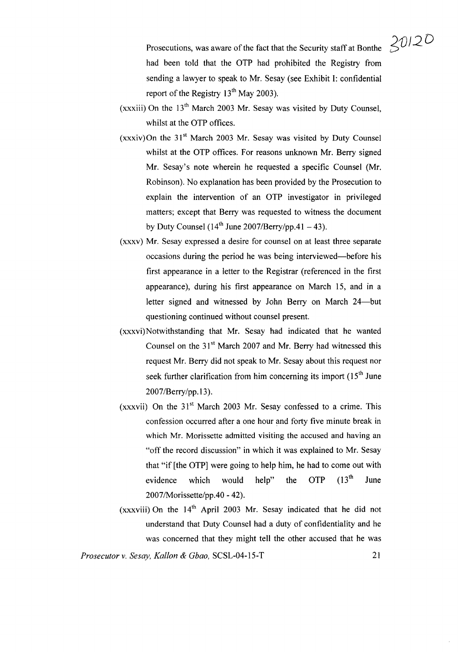Prosecutions, was aware of the fact that the Security staff at Bonthe had been told that the OTP had prohibited the Registry from sending a lawyer to speak to Mr. Sesay (see Exhibit I: confidential report of the Registry  $13<sup>th</sup>$  May 2003).

- (xxxiii) On the  $13<sup>th</sup>$  March 2003 Mr. Sesay was visited by Duty Counsel, whilst at the OTP offices.
- $(xxxiv)$ On the 31<sup>st</sup> March 2003 Mr. Sesay was visited by Duty Counsel whilst at the OTP offices. For reasons unknown Mr. Berry signed Mr. Sesay's note wherein he requested a specific Counsel (Mr. Robinson). No explanation has been provided by the Prosecution to explain the intervention of an OTP investigator in privileged matters; except that Berry was requested to witness the document by Duty Counsel ( $14<sup>th</sup>$  June 2007/Berry/pp.41 – 43).
- (xxxv) Mr. Sesay expressed a desire for counsel on at least three separate occasions during the period he was being interviewed-before his first appearance in a letter to the Registrar (referenced in the first appearance), during his first appearance on March 15, and in a letter signed and witnessed by John Berry on March 24—but questioning continued without counsel present.
- (xxxvi)Notwithstanding that Mr. Sesay had indicated that he wanted Counsel on the  $31<sup>st</sup>$  March 2007 and Mr. Berry had witnessed this request Mr. Berry did not speak to Mr. Sesay about this request nor seek further clarification from him concerning its import  $(15<sup>th</sup>$  June 2007/Berry/pp.l3).
- (xxxvii) On the  $31<sup>st</sup>$  March 2003 Mr. Sesay confessed to a crime. This confession occurred after a one hour and forty five minute break in which Mr. Morissette admitted visiting the accused and having an "off the record discussion" in which it was explained to Mr. Sesay that "if [the OTP] were going to help him, he had to come out with evidence which would help" the OTP  $(13<sup>th</sup>$  June 2007/Morissette/pp.40 - 42).
- (xxxviii) On the  $14<sup>th</sup>$  April 2003 Mr. Sesay indicated that he did not understand that Duty Counsel had a duty of confidentiality and he was concerned that they might tell the other accused that he was

*Prosecutor* v. *Sesay, Kallon* & *Gbao,* SCSL-04-15-T 21

*SV/2 D*